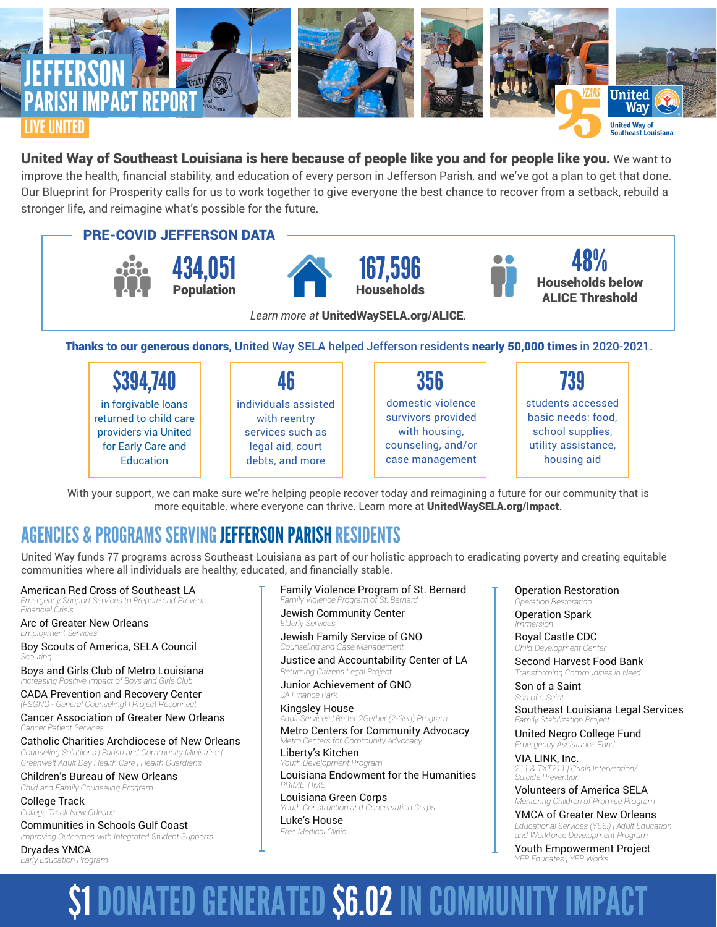

## United Way of Southeast Louisiana is here because of people like you and for people like you. We want to

improve the health, financial stability, and education of every person in Jefferson Parish, and we've got a plan to get that done. Our Blueprint for Prosperity calls for us to work together to give everyone the best chance to recover from a setback, rebuild a stronger life, and reimagine what's possible for the future.



Thanks to our generous donors, United Way SELA helped Jefferson residents nearly 50,000 times in 2020-2021.

| \$394,740              | 46                   | 356                | 739                 |
|------------------------|----------------------|--------------------|---------------------|
| in forgivable loans    | individuals assisted | domestic violence  | students accessed   |
| returned to child care | with reentry         | survivors provided | basic needs: food,  |
| providers via United   | services such as     | with housing,      | school supplies,    |
| for Early Care and     | legal aid, court     | counseling, and/or | utility assistance, |
| Education              | debts, and more      | case management    | housing aid         |

With your support, we can make sure we're helping people recover today and reimagining a future for our community that is more equitable, where everyone can thrive. Learn more at **UnitedWaySELA.org/Impact**.

## AGENCIES & PROGRAMS SERVING JEFFERSON PARISH RESIDENTS

United Way funds 77 programs across Southeast Louisiana as part of our holistic approach to eradicating poverty and creating equitable communities where all individuals are healthy, educated, and financially stable.

American Red Cross of Southeast LA

*Emergency Support Services to Prepare and Prevent Financial Crisis*

Arc of Greater New Orleans *Employment Services*

Boy Scouts of America, SELA Council *Scouting*

Boys and Girls Club of Metro Louisiana *Increasing Positive Impact of Boys and Girls Club*

CADA Prevention and Recovery Center *(FSGNO - General Counseling) | Project Reconnect*

Cancer Association of Greater New Orleans *Cancer Patient Services*

Catholic Charities Archdiocese of New Orleans *Counseling Solutiions | Parish and Community Ministries | Greenwalt Adult Day Health Care | Health Guardians*

Children's Bureau of New Orleans *Child and Family Counseling Program*

College Track *College Track New Orleans*

Communities in Schools Gulf Coast *Improving Outcomes with Integrated Student Supports*

Dryades YMCA *Early Education Program*

### Family Violence Program of St. Bernard *Family Violence Program of St. Bernard*

Jewish Community Center *Elderly Services*

Jewish Family Service of GNO *Counseling and Case Management*

Justice and Accountability Center of LA *Returning Citizens Legal Project*

Junior Achievement of GNO *JA Finance Park*

Kingsley House *Adult Services | Better 2Gether (2-Gen) Program* Metro Centers for Community Advocacy *Metro Centers for Community Advocacy*

**Liberty's Kitchen**<br>Youth Development Pro *Youth Development Program*

Louisiana Endowment for the Humanities *PRIME TIME*

Louisiana Green Corps *Youth Construction and Conservation Corps* Luke's House

*Free Medical Clinic*

Operation Restoration *Operation Restoration*

Operation Spark *Immersion*

Royal Castle CDC *Child Development Center*

Second Harvest Food Bank *Transforming Communities in Need*

Son of a Saint *Son of a Saint*

Southeast Louisiana Legal Services *Family Stabilization Project*

United Negro College Fund *Emergency Assistance Fund*

VIA LINK, Inc. *211 & TXT211 | Crisis Intervention/ Suicide Prevention*

Volunteers of America SELA *Mentoring Children of Promise Program*

YMCA of Greater New Orleans *Educational Services (YES!) | Adult Education and Workforce Development Program* 

Youth Empowerment Project *YEP Educates | YEP Works*

# **\$1 DONATED GENERATED \$6.02 IN COMMUNITY**